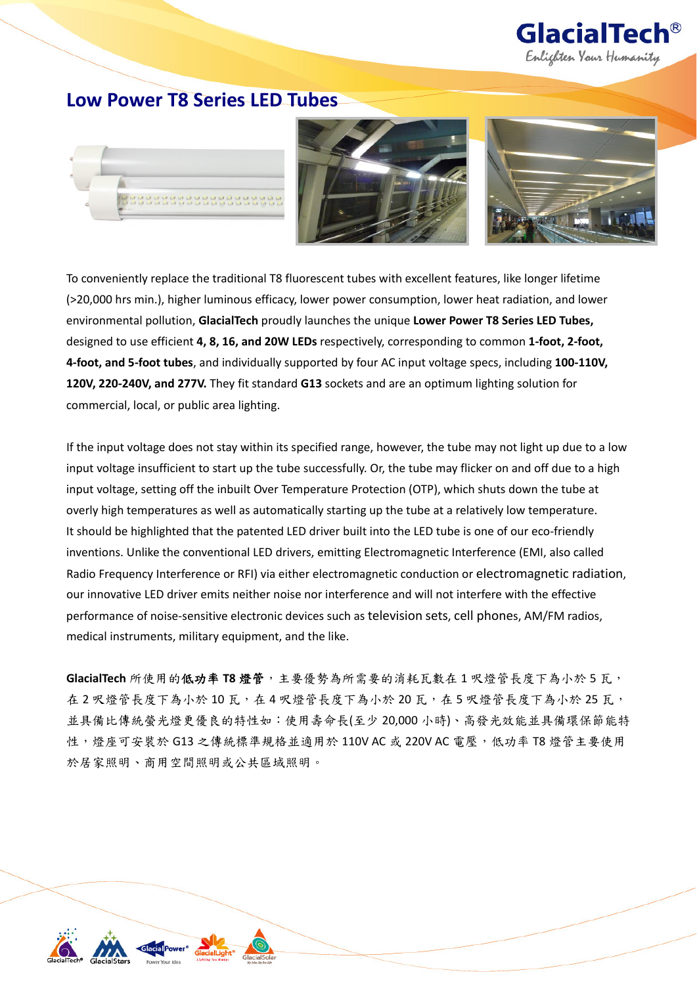

# **Low Power T8 Series LED Tubes**







To conveniently replace the traditional T8 fluorescent tubes with excellent features, like longer lifetime (>20,000 hrs min.), higher luminous efficacy, lower power consumption, lower heat radiation, and lower environmental pollution, **GlacialTech** proudly launches the unique **Lower Power T8 Series LED Tubes,** designed to use efficient **4, 8, 16, and 20W LEDs** respectively, corresponding to common **1‐foot, 2‐foot, 4‐foot, and 5‐foot tubes**, and individually supported by four AC input voltage specs, including **100‐110V, 120V, 220‐240V, and 277V.** They fit standard **G13** sockets and are an optimum lighting solution for commercial, local, or public area lighting.

If the input voltage does not stay within its specified range, however, the tube may not light up due to a low input voltage insufficient to start up the tube successfully. Or, the tube may flicker on and off due to a high input voltage, setting off the inbuilt Over Temperature Protection (OTP), which shuts down the tube at overly high temperatures as well as automatically starting up the tube at a relatively low temperature. It should be highlighted that the patented LED driver built into the LED tube is one of our eco-friendly inventions. Unlike the conventional LED drivers, emitting Electromagnetic Interference (EMI, also called Radio Frequency Interference or RFI) via either electromagnetic conduction or electromagnetic radiation, our innovative LED driver emits neither noise nor interference and will not interfere with the effective performance of noise-sensitive electronic devices such as television sets, cell phones, AM/FM radios, medical instruments, military equipment, and the like.

**GlacialTech** 所使用的低功率 **T8** 燈管,主要優勢為所需要的消耗瓦數在 1 呎燈管長度下為小於 5 瓦, 在 2 呎燈管長度下為小於 10 瓦,在 4 呎燈管長度下為小於 20 瓦,在 5 呎燈管長度下為小於 25 瓦, 並具備比傳統螢光燈更優良的特性如:使用壽命長(至少 20,000 小時)、高發光效能並具備環保節能特 性,燈座可安裝於 G13 之傳統標準規格並適用於 110V AC 或 220V AC 電壓,低功率 T8 燈管主要使用 於居家照明、商用空間照明或公共區域照明。

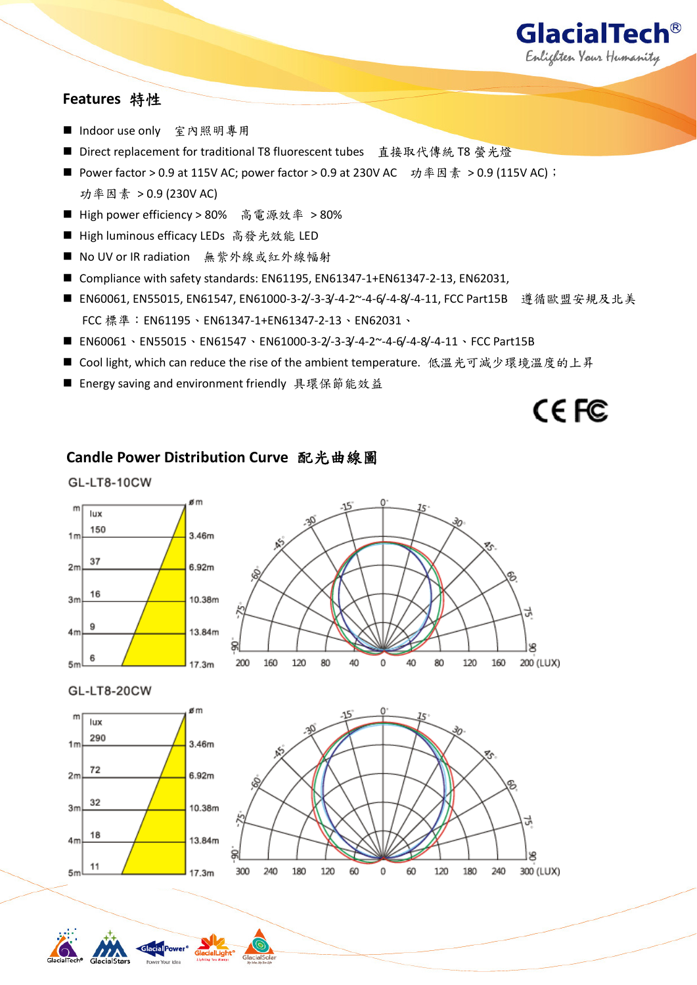

# **Features** 特性

- Indoor use only 室內照明專用
- Direct replacement for traditional T8 fluorescent tubes 直接取代傳統 T8 螢光燈
- Power factor > 0.9 at 115V AC; power factor > 0.9 at 230V AC 功率因素 > 0.9 (115V AC); 功率因素 > 0.9 (230V AC)
- High power efficiency > 80% 高電源效率 > 80%
- High luminous efficacy LEDs 高發光效能 LED
- No UV or IR radiation 無紫外線或紅外線幅射
- Compliance with safety standards: EN61195, EN61347-1+EN61347-2-13, EN62031,
- EN60061, EN55015, EN61547, EN61000-3-2/-3-3/-4-2~-4-6/-4-8/-4-11, FCC Part15B 遵循歐盟安規及北美 FCC 標準: EN61195、EN61347-1+EN61347-2-13、EN62031、
- EN60061、EN55015、EN61547、EN61000‐3‐2/‐3‐3/‐4‐2~‐4‐6/‐4‐8/‐4‐11、FCC Part15B
- Cool light, which can reduce the rise of the ambient temperature. 低溫光可減少環境溫度的上昇
- Energy saving and environment friendly 具環保節能效益

CE<sub>FC</sub>

# **Candle Power Distribution Curve** 配光曲線圖

#### **GL-LT8-10CW**









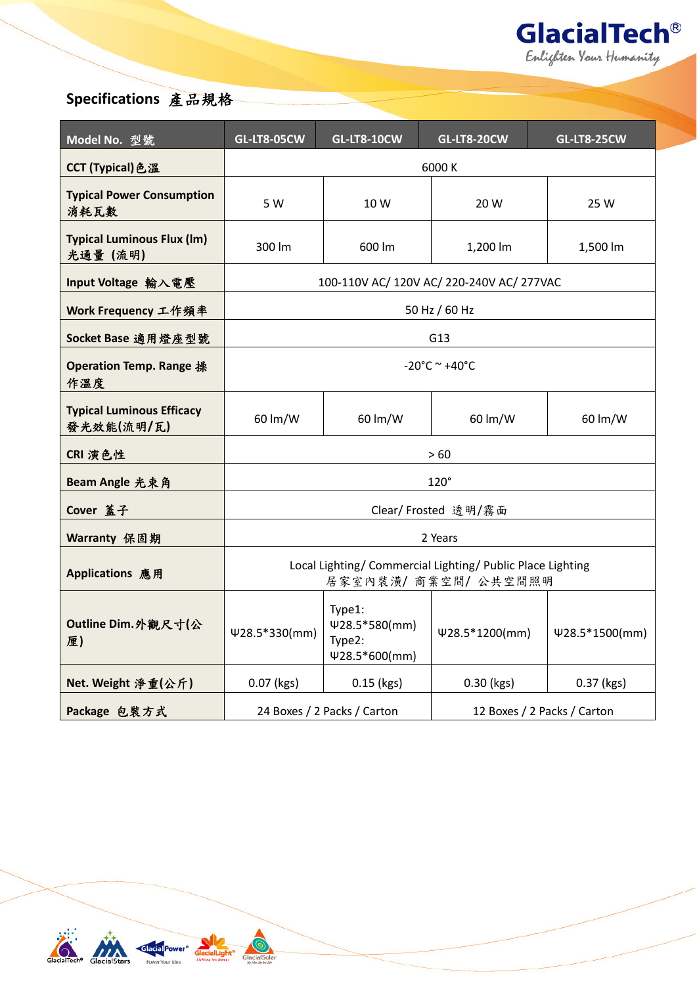

# **Specifications** 產品規格

| Model No. 型號                                   | <b>GL-LT8-05CW</b>                                                                 | <b>GL-LT8-10CW</b>                                    | <b>GL-LT8-20CW</b>          | <b>GL-LT8-25CW</b> |
|------------------------------------------------|------------------------------------------------------------------------------------|-------------------------------------------------------|-----------------------------|--------------------|
| CCT (Typical) 色溫                               | 6000 K                                                                             |                                                       |                             |                    |
| <b>Typical Power Consumption</b><br>消耗瓦數       | 5 W                                                                                | 10 W                                                  | 20 W                        | 25 W               |
| <b>Typical Luminous Flux (Im)</b><br>光通量 (流明)  | 300 lm                                                                             | 600 lm                                                | 1,200 lm                    | 1,500 lm           |
| Input Voltage 輸入電壓                             | 100-110V AC/ 120V AC/ 220-240V AC/ 277VAC                                          |                                                       |                             |                    |
| Work Frequency 工作頻率                            | 50 Hz / 60 Hz                                                                      |                                                       |                             |                    |
| Socket Base 適用燈座型號                             | G13                                                                                |                                                       |                             |                    |
| Operation Temp. Range 操<br>作溫度                 | $-20^{\circ}$ C ~ $+40^{\circ}$ C                                                  |                                                       |                             |                    |
| <b>Typical Luminous Efficacy</b><br>發光效能(流明/瓦) | 60 lm/W                                                                            | 60 lm/W                                               | 60 lm/W                     | 60 lm/W            |
| CRI 演色性                                        | >60                                                                                |                                                       |                             |                    |
| Beam Angle 光束角                                 | $120^\circ$                                                                        |                                                       |                             |                    |
| Cover 蓋子                                       | Clear/ Frosted 透明/霧面                                                               |                                                       |                             |                    |
| Warranty 保固期                                   | 2 Years                                                                            |                                                       |                             |                    |
| Applications 應用                                | Local Lighting/ Commercial Lighting/ Public Place Lighting<br>居家室內裝潢/ 商業空間/ 公共空間照明 |                                                       |                             |                    |
| Outline Dim.外觀尺寸(公<br>厘)                       | Ψ28.5*330(mm)                                                                      | Type1:<br>Ψ28.5*580(mm)<br>Type2:<br>$428.5*600$ (mm) | Ψ28.5*1200(mm)              | $428.5*1500$ (mm)  |
| Net. Weight 净重(公斤)                             | 0.07 (kgs)                                                                         | $0.15$ (kgs)                                          | 0.30 (kgs)                  | 0.37 (kgs)         |
| Package 包装方式                                   | 24 Boxes / 2 Packs / Carton                                                        |                                                       | 12 Boxes / 2 Packs / Carton |                    |